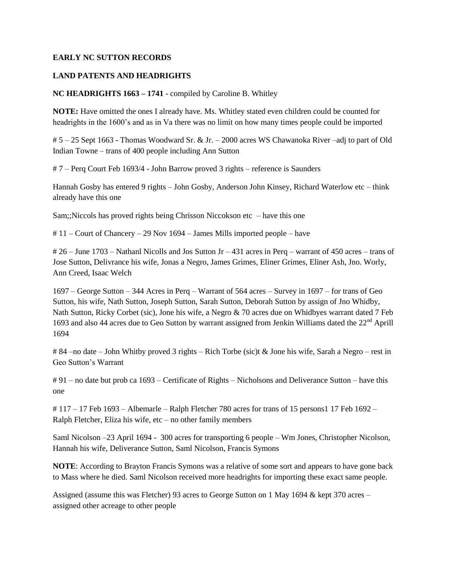#### **EARLY NC SUTTON RECORDS**

#### **LAND PATENTS AND HEADRIGHTS**

**NC HEADRIGHTS 1663 – 1741** - compiled by Caroline B. Whitley

**NOTE:** Have omitted the ones I already have. Ms. Whitley stated even children could be counted for headrights in the 1600's and as in Va there was no limit on how many times people could be imported

# 5 – 25 Sept 1663 - Thomas Woodward Sr. & Jr. – 2000 acres WS Chawanoka River –adj to part of Old Indian Towne – trans of 400 people including Ann Sutton

# 7 – Perq Court Feb 1693/4 - John Barrow proved 3 rights – reference is Saunders

Hannah Gosby has entered 9 rights – John Gosby, Anderson John Kinsey, Richard Waterlow etc – think already have this one

Sam;;Niccols has proved rights being Chrisson Niccokson etc – have this one

# 11 – Court of Chancery – 29 Nov 1694 – James Mills imported people – have

# 26 – June 1703 – Nathanl Nicolls and Jos Sutton Jr – 431 acres in Perq – warrant of 450 acres – trans of Jose Sutton, Delivrance his wife, Jonas a Negro, James Grimes, Eliner Grimes, Eliner Ash, Jno. Worly, Ann Creed, Isaac Welch

1697 – George Sutton – 344 Acres in Perq – Warrant of 564 acres – Survey in 1697 – for trans of Geo Sutton, his wife, Nath Sutton, Joseph Sutton, Sarah Sutton, Deborah Sutton by assign of Jno Whidby, Nath Sutton, Ricky Corbet (sic), Jone his wife, a Negro & 70 acres due on Whidbyes warrant dated 7 Feb 1693 and also 44 acres due to Geo Sutton by warrant assigned from Jenkin Williams dated the 22<sup>nd</sup> Aprill 1694

# 84 –no date – John Whitby proved 3 rights – Rich Torbe (sic)t & Jone his wife, Sarah a Negro – rest in Geo Sutton's Warrant

# 91 – no date but prob ca 1693 – Certificate of Rights – Nicholsons and Deliverance Sutton – have this one

 $\# 117 - 17$  Feb 1693 – Albemarle – Ralph Fletcher 780 acres for trans of 15 persons 117 Feb 1692 – Ralph Fletcher, Eliza his wife, etc – no other family members

Saml Nicolson –23 April 1694 - 300 acres for transporting 6 people – Wm Jones, Christopher Nicolson, Hannah his wife, Deliverance Sutton, Saml Nicolson, Francis Symons

**NOTE**: According to Brayton Francis Symons was a relative of some sort and appears to have gone back to Mass where he died. Saml Nicolson received more headrights for importing these exact same people.

Assigned (assume this was Fletcher) 93 acres to George Sutton on 1 May 1694 & kept 370 acres – assigned other acreage to other people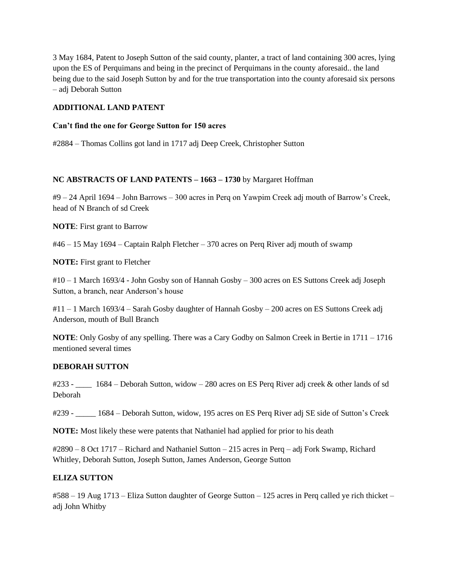3 May 1684, Patent to Joseph Sutton of the said county, planter, a tract of land containing 300 acres, lying upon the ES of Perquimans and being in the precinct of Perquimans in the county aforesaid.. the land being due to the said Joseph Sutton by and for the true transportation into the county aforesaid six persons – adj Deborah Sutton

### **ADDITIONAL LAND PATENT**

### **Can't find the one for George Sutton for 150 acres**

#2884 – Thomas Collins got land in 1717 adj Deep Creek, Christopher Sutton

## **NC ABSTRACTS OF LAND PATENTS – 1663 – 1730** by Margaret Hoffman

#9 – 24 April 1694 – John Barrows – 300 acres in Perq on Yawpim Creek adj mouth of Barrow's Creek, head of N Branch of sd Creek

**NOTE**: First grant to Barrow

#46 – 15 May 1694 – Captain Ralph Fletcher – 370 acres on Perq River adj mouth of swamp

**NOTE:** First grant to Fletcher

#10 – 1 March 1693/4 - John Gosby son of Hannah Gosby – 300 acres on ES Suttons Creek adj Joseph Sutton, a branch, near Anderson's house

#11 – 1 March 1693/4 – Sarah Gosby daughter of Hannah Gosby – 200 acres on ES Suttons Creek adj Anderson, mouth of Bull Branch

**NOTE**: Only Gosby of any spelling. There was a Cary Godby on Salmon Creek in Bertie in 1711 – 1716 mentioned several times

### **DEBORAH SUTTON**

#233 - \_\_\_\_ 1684 – Deborah Sutton, widow – 280 acres on ES Perq River adj creek & other lands of sd Deborah

#239 - \_\_\_\_\_ 1684 – Deborah Sutton, widow, 195 acres on ES Perq River adj SE side of Sutton's Creek

**NOTE:** Most likely these were patents that Nathaniel had applied for prior to his death

#2890 – 8 Oct 1717 – Richard and Nathaniel Sutton – 215 acres in Perq – adj Fork Swamp, Richard Whitley, Deborah Sutton, Joseph Sutton, James Anderson, George Sutton

## **ELIZA SUTTON**

#588 – 19 Aug 1713 – Eliza Sutton daughter of George Sutton – 125 acres in Perq called ye rich thicket – adj John Whitby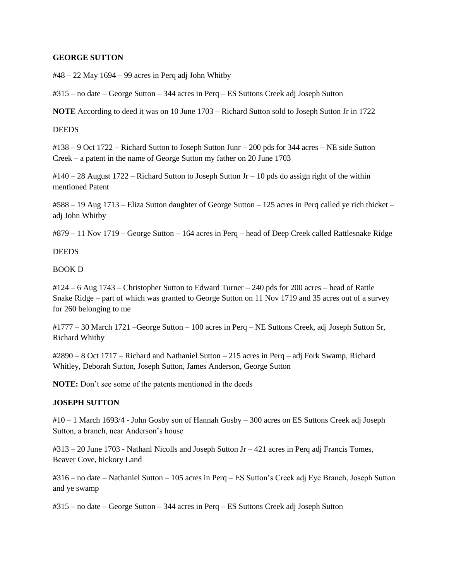#### **GEORGE SUTTON**

 $\text{\#48}-22$  May 1694 – 99 acres in Perq adj John Whitby

#315 – no date – George Sutton – 344 acres in Perq – ES Suttons Creek adj Joseph Sutton

**NOTE** According to deed it was on 10 June 1703 – Richard Sutton sold to Joseph Sutton Jr in 1722

#### **DEEDS**

#138 – 9 Oct 1722 – Richard Sutton to Joseph Sutton Junr – 200 pds for 344 acres – NE side Sutton Creek – a patent in the name of George Sutton my father on 20 June 1703

 $\text{\#140}-28$  August 1722 – Richard Sutton to Joseph Sutton Jr – 10 pds do assign right of the within mentioned Patent

#588 – 19 Aug 1713 – Eliza Sutton daughter of George Sutton – 125 acres in Perq called ye rich thicket – adj John Whitby

#879 – 11 Nov 1719 – George Sutton – 164 acres in Perq – head of Deep Creek called Rattlesnake Ridge

#### **DEEDS**

#### BOOK D

#124 – 6 Aug 1743 – Christopher Sutton to Edward Turner – 240 pds for 200 acres – head of Rattle Snake Ridge – part of which was granted to George Sutton on 11 Nov 1719 and 35 acres out of a survey for 260 belonging to me

#1777 – 30 March 1721 –George Sutton – 100 acres in Perq – NE Suttons Creek, adj Joseph Sutton Sr, Richard Whitby

#2890 – 8 Oct 1717 – Richard and Nathaniel Sutton – 215 acres in Perq – adj Fork Swamp, Richard Whitley, Deborah Sutton, Joseph Sutton, James Anderson, George Sutton

**NOTE:** Don't see some of the patents mentioned in the deeds

### **JOSEPH SUTTON**

#10 – 1 March 1693/4 - John Gosby son of Hannah Gosby – 300 acres on ES Suttons Creek adj Joseph Sutton, a branch, near Anderson's house

#313 – 20 June 1703 - Nathanl Nicolls and Joseph Sutton Jr – 421 acres in Perq adj Francis Tomes, Beaver Cove, hickory Land

#316 – no date – Nathaniel Sutton – 105 acres in Perq – ES Sutton's Creek adj Eye Branch, Joseph Sutton and ye swamp

#315 – no date – George Sutton – 344 acres in Perq – ES Suttons Creek adj Joseph Sutton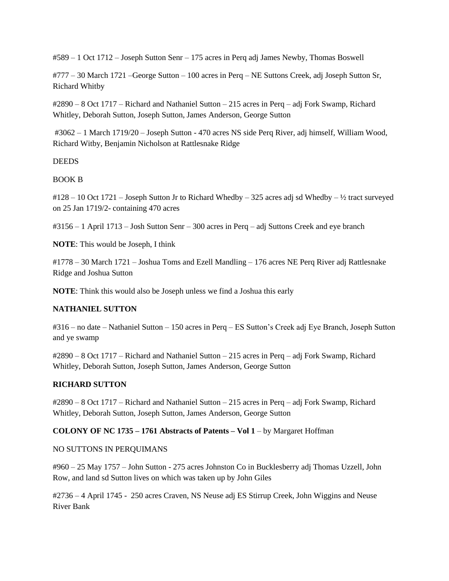#589 – 1 Oct 1712 – Joseph Sutton Senr – 175 acres in Perq adj James Newby, Thomas Boswell

#777 – 30 March 1721 –George Sutton – 100 acres in Perq – NE Suttons Creek, adj Joseph Sutton Sr, Richard Whitby

#2890 – 8 Oct 1717 – Richard and Nathaniel Sutton – 215 acres in Perq – adj Fork Swamp, Richard Whitley, Deborah Sutton, Joseph Sutton, James Anderson, George Sutton

#3062 – 1 March 1719/20 – Joseph Sutton - 470 acres NS side Perq River, adj himself, William Wood, Richard Witby, Benjamin Nicholson at Rattlesnake Ridge

**DEEDS** 

BOOK B

#128 – 10 Oct 1721 – Joseph Sutton Jr to Richard Whedby – 325 acres adj sd Whedby – ½ tract surveyed on 25 Jan 1719/2- containing 470 acres

#3156 – 1 April 1713 – Josh Sutton Senr – 300 acres in Perq – adj Suttons Creek and eye branch

**NOTE**: This would be Joseph, I think

#1778 – 30 March 1721 – Joshua Toms and Ezell Mandling – 176 acres NE Perq River adj Rattlesnake Ridge and Joshua Sutton

**NOTE**: Think this would also be Joseph unless we find a Joshua this early

## **NATHANIEL SUTTON**

#316 – no date – Nathaniel Sutton – 150 acres in Perq – ES Sutton's Creek adj Eye Branch, Joseph Sutton and ye swamp

#2890 – 8 Oct 1717 – Richard and Nathaniel Sutton – 215 acres in Perq – adj Fork Swamp, Richard Whitley, Deborah Sutton, Joseph Sutton, James Anderson, George Sutton

### **RICHARD SUTTON**

#2890 – 8 Oct 1717 – Richard and Nathaniel Sutton – 215 acres in Perq – adj Fork Swamp, Richard Whitley, Deborah Sutton, Joseph Sutton, James Anderson, George Sutton

### **COLONY OF NC 1735 – 1761 Abstracts of Patents – Vol 1** – by Margaret Hoffman

### NO SUTTONS IN PERQUIMANS

#960 – 25 May 1757 – John Sutton - 275 acres Johnston Co in Bucklesberry adj Thomas Uzzell, John Row, and land sd Sutton lives on which was taken up by John Giles

#2736 – 4 April 1745 - 250 acres Craven, NS Neuse adj ES Stirrup Creek, John Wiggins and Neuse River Bank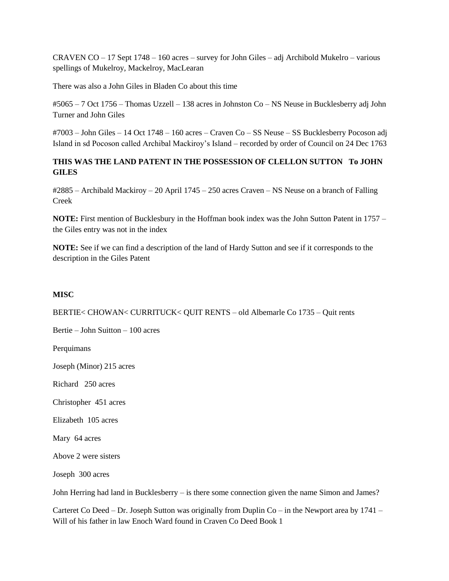CRAVEN CO – 17 Sept 1748 – 160 acres – survey for John Giles – adj Archibold Mukelro – various spellings of Mukelroy, Mackelroy, MacLearan

There was also a John Giles in Bladen Co about this time

#5065 – 7 Oct 1756 – Thomas Uzzell – 138 acres in Johnston Co – NS Neuse in Bucklesberry adj John Turner and John Giles

#7003 – John Giles – 14 Oct 1748 – 160 acres – Craven Co – SS Neuse – SS Bucklesberry Pocoson adj Island in sd Pocoson called Archibal Mackiroy's Island – recorded by order of Council on 24 Dec 1763

## **THIS WAS THE LAND PATENT IN THE POSSESSION OF CLELLON SUTTON To JOHN GILES**

#2885 – Archibald Mackiroy – 20 April 1745 – 250 acres Craven – NS Neuse on a branch of Falling Creek

**NOTE:** First mention of Bucklesbury in the Hoffman book index was the John Sutton Patent in 1757 – the Giles entry was not in the index

**NOTE:** See if we can find a description of the land of Hardy Sutton and see if it corresponds to the description in the Giles Patent

## **MISC**

BERTIE< CHOWAN< CURRITUCK< QUIT RENTS – old Albemarle Co 1735 – Quit rents

Bertie – John Suitton – 100 acres

Perquimans

Joseph (Minor) 215 acres

Richard 250 acres

Christopher 451 acres

Elizabeth 105 acres

Mary 64 acres

Above 2 were sisters

Joseph 300 acres

John Herring had land in Bucklesberry – is there some connection given the name Simon and James?

Carteret Co Deed – Dr. Joseph Sutton was originally from Duplin Co – in the Newport area by  $1741$  – Will of his father in law Enoch Ward found in Craven Co Deed Book 1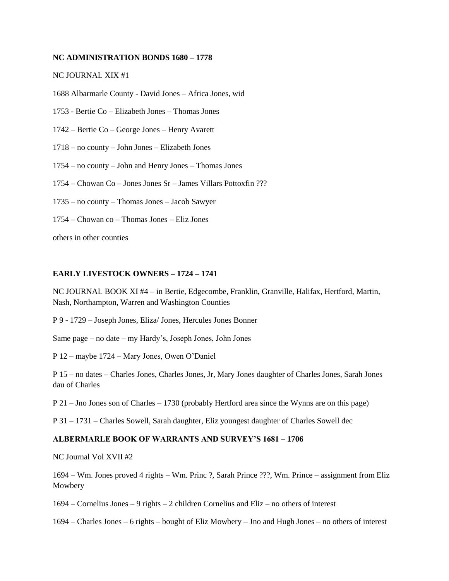#### **NC ADMINISTRATION BONDS 1680 – 1778**

#### NC JOURNAL XIX #1

1688 Albarmarle County - David Jones – Africa Jones, wid

- 1753 Bertie Co Elizabeth Jones Thomas Jones
- 1742 Bertie Co George Jones Henry Avarett
- 1718 no county John Jones Elizabeth Jones
- 1754 no county John and Henry Jones Thomas Jones
- 1754 Chowan Co Jones Jones Sr James Villars Pottoxfin ???
- 1735 no county Thomas Jones Jacob Sawyer
- 1754 Chowan co Thomas Jones Eliz Jones

others in other counties

#### **EARLY LIVESTOCK OWNERS – 1724 – 1741**

NC JOURNAL BOOK XI #4 – in Bertie, Edgecombe, Franklin, Granville, Halifax, Hertford, Martin, Nash, Northampton, Warren and Washington Counties

P 9 - 1729 – Joseph Jones, Eliza/ Jones, Hercules Jones Bonner

Same page – no date – my Hardy's, Joseph Jones, John Jones

P 12 – maybe 1724 – Mary Jones, Owen O'Daniel

P 15 – no dates – Charles Jones, Charles Jones, Jr, Mary Jones daughter of Charles Jones, Sarah Jones dau of Charles

P 21 – Jno Jones son of Charles – 1730 (probably Hertford area since the Wynns are on this page)

P 31 – 1731 – Charles Sowell, Sarah daughter, Eliz youngest daughter of Charles Sowell dec

### **ALBERMARLE BOOK OF WARRANTS AND SURVEY'S 1681 – 1706**

NC Journal Vol XVII #2

1694 – Wm. Jones proved 4 rights – Wm. Princ ?, Sarah Prince ???, Wm. Prince – assignment from Eliz Mowbery

1694 – Cornelius Jones – 9 rights – 2 children Cornelius and Eliz – no others of interest

1694 – Charles Jones – 6 rights – bought of Eliz Mowbery – Jno and Hugh Jones – no others of interest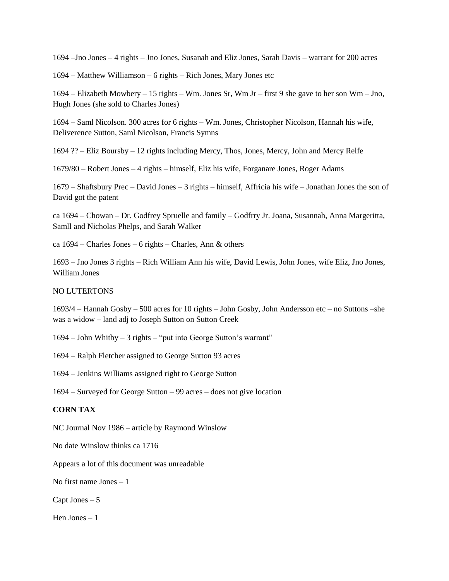1694 –Jno Jones – 4 rights – Jno Jones, Susanah and Eliz Jones, Sarah Davis – warrant for 200 acres

1694 – Matthew Williamson – 6 rights – Rich Jones, Mary Jones etc

1694 – Elizabeth Mowbery – 15 rights – Wm. Jones Sr, Wm Jr – first 9 she gave to her son Wm – Jno, Hugh Jones (she sold to Charles Jones)

1694 – Saml Nicolson. 300 acres for 6 rights – Wm. Jones, Christopher Nicolson, Hannah his wife, Deliverence Sutton, Saml Nicolson, Francis Symns

1694 ?? – Eliz Boursby – 12 rights including Mercy, Thos, Jones, Mercy, John and Mercy Relfe

1679/80 – Robert Jones – 4 rights – himself, Eliz his wife, Forganare Jones, Roger Adams

1679 – Shaftsbury Prec – David Jones – 3 rights – himself, Affricia his wife – Jonathan Jones the son of David got the patent

ca 1694 – Chowan – Dr. Godfrey Spruelle and family – Godfrry Jr. Joana, Susannah, Anna Margeritta, Samll and Nicholas Phelps, and Sarah Walker

ca 1694 – Charles Jones – 6 rights – Charles, Ann & others

1693 – Jno Jones 3 rights – Rich William Ann his wife, David Lewis, John Jones, wife Eliz, Jno Jones, William Jones

#### NO LUTERTONS

1693/4 – Hannah Gosby – 500 acres for 10 rights – John Gosby, John Andersson etc – no Suttons –she was a widow – land adj to Joseph Sutton on Sutton Creek

1694 – John Whitby – 3 rights – "put into George Sutton's warrant"

1694 – Ralph Fletcher assigned to George Sutton 93 acres

1694 – Jenkins Williams assigned right to George Sutton

1694 – Surveyed for George Sutton – 99 acres – does not give location

### **CORN TAX**

NC Journal Nov 1986 – article by Raymond Winslow

No date Winslow thinks ca 1716

Appears a lot of this document was unreadable

No first name Jones – 1

Capt Jones – 5

Hen Jones – 1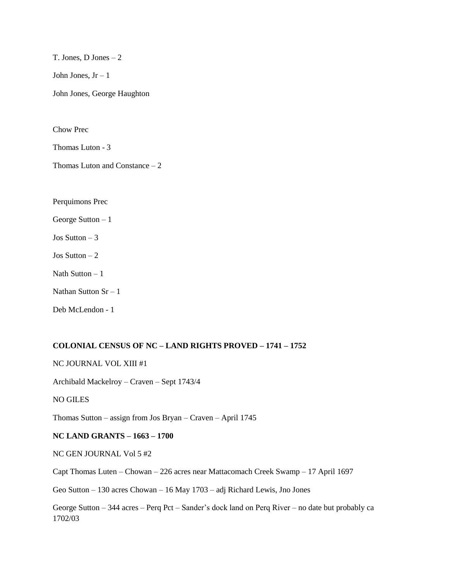T. Jones, D Jones – 2 John Jones,  $Jr - 1$ John Jones, George Haughton

Chow Prec

Thomas Luton - 3

Thomas Luton and Constance – 2

Perquimons Prec

George Sutton – 1

Jos Sutton – 3

Jos Sutton –  $2$ 

Nath Sutton  $-1$ 

Nathan Sutton  $Sr - 1$ 

Deb McLendon - 1

#### **COLONIAL CENSUS OF NC – LAND RIGHTS PROVED – 1741 – 1752**

NC JOURNAL VOL XIII #1

Archibald Mackelroy – Craven – Sept 1743/4

NO GILES

Thomas Sutton – assign from Jos Bryan – Craven – April 1745

#### **NC LAND GRANTS – 1663 – 1700**

NC GEN JOURNAL Vol 5 #2

Capt Thomas Luten – Chowan – 226 acres near Mattacomach Creek Swamp – 17 April 1697

Geo Sutton – 130 acres Chowan – 16 May 1703 – adj Richard Lewis, Jno Jones

George Sutton – 344 acres – Perq Pct – Sander's dock land on Perq River – no date but probably ca 1702/03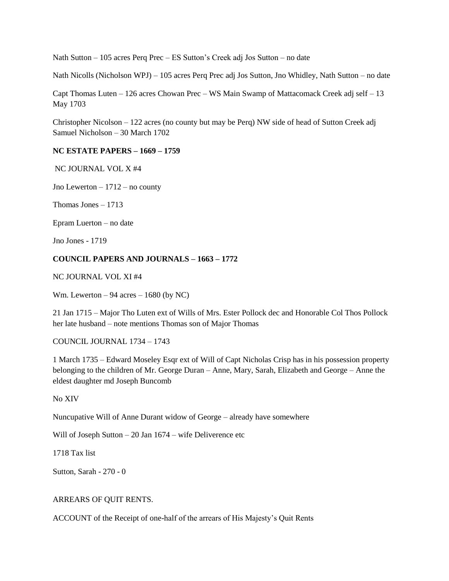Nath Sutton – 105 acres Perq Prec – ES Sutton's Creek adj Jos Sutton – no date

Nath Nicolls (Nicholson WPJ) – 105 acres Perq Prec adj Jos Sutton, Jno Whidley, Nath Sutton – no date

Capt Thomas Luten – 126 acres Chowan Prec – WS Main Swamp of Mattacomack Creek adj self – 13 May 1703

Christopher Nicolson – 122 acres (no county but may be Perq) NW side of head of Sutton Creek adj Samuel Nicholson – 30 March 1702

### **NC ESTATE PAPERS – 1669 – 1759**

NC JOURNAL VOL X #4

Jno Lewerton – 1712 – no county

Thomas Jones – 1713

Epram Luerton – no date

Jno Jones - 1719

### **COUNCIL PAPERS AND JOURNALS – 1663 – 1772**

NC JOURNAL VOL XI #4

Wm. Lewerton – 94 acres – 1680 (by NC)

21 Jan 1715 – Major Tho Luten ext of Wills of Mrs. Ester Pollock dec and Honorable Col Thos Pollock her late husband – note mentions Thomas son of Major Thomas

COUNCIL JOURNAL 1734 – 1743

1 March 1735 – Edward Moseley Esqr ext of Will of Capt Nicholas Crisp has in his possession property belonging to the children of Mr. George Duran – Anne, Mary, Sarah, Elizabeth and George – Anne the eldest daughter md Joseph Buncomb

No XIV

Nuncupative Will of Anne Durant widow of George – already have somewhere

Will of Joseph Sutton – 20 Jan 1674 – wife Deliverence etc

1718 Tax list

Sutton, Sarah - 270 - 0

#### ARREARS OF QUIT RENTS.

ACCOUNT of the Receipt of one-half of the arrears of His Majesty's Quit Rents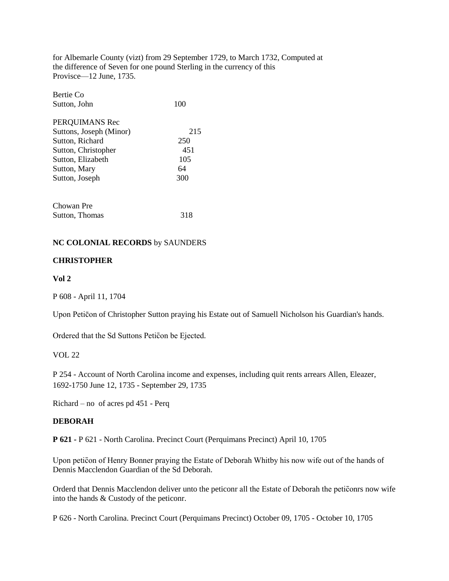for Albemarle County (vizt) from 29 September 1729, to March 1732, Computed at the difference of Seven for one pound Sterling in the currency of this Provisce—12 June, 1735.

| Bertie Co               |     |
|-------------------------|-----|
| Sutton, John            | 100 |
| PERQUIMANS Rec          |     |
| Suttons, Joseph (Minor) | 215 |
| Sutton, Richard         | 250 |
| Sutton, Christopher     | 451 |
| Sutton, Elizabeth       | 105 |
| Sutton, Mary            | 64  |
| Sutton, Joseph          | 300 |
| Chowan Pre              |     |
| Sutton, Thomas          | 318 |

### **NC COLONIAL RECORDS** by SAUNDERS

### **CHRISTOPHER**

### **Vol 2**

P 608 - April 11, 1704

Upon Peticon of Christopher Sutton praying his Estate out of Samuell Nicholson his Guardian's hands.

Ordered that the Sd Suttons Peticon be Ejected.

### VOL 22

P 254 - Account of North Carolina income and expenses, including quit rents arrears Allen, Eleazer, 1692-1750 June 12, 1735 - September 29, 1735

Richard – no of acres pd 451 - Perq

### **DEBORAH**

**P 621 -** P 621 - North Carolina. Precinct Court (Perquimans Precinct) April 10, 1705

Upon peticon of Henry Bonner praying the Estate of Deborah Whitby his now wife out of the hands of Dennis Macclendon Guardian of the Sd Deborah.

Orderd that Dennis Macclendon deliver unto the peticonr all the Estate of Deborah the peticonrs now wife into the hands & Custody of the peticonr.

P 626 - North Carolina. Precinct Court (Perquimans Precinct) October 09, 1705 - October 10, 1705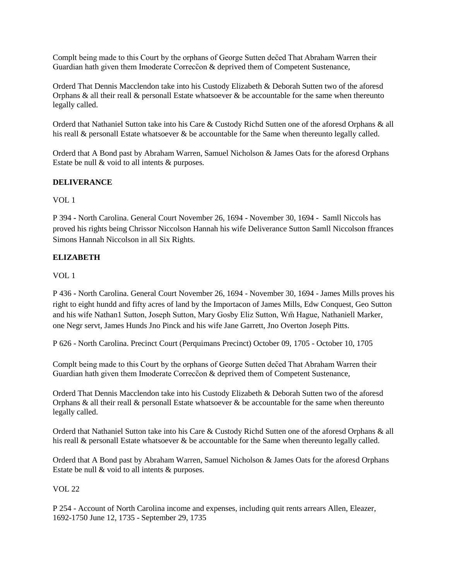Complt being made to this Court by the orphans of George Sutten deced That Abraham Warren their Guardian hath given them Imoderate Correccon & deprived them of Competent Sustenance,

Orderd That Dennis Macclendon take into his Custody Elizabeth & Deborah Sutten two of the aforesd Orphans & all their reall & personall Estate whatsoever & be accountable for the same when thereunto legally called.

Orderd that Nathaniel Sutton take into his Care & Custody Richd Sutten one of the aforesd Orphans & all his reall & personall Estate whatsoever & be accountable for the Same when thereunto legally called.

Orderd that A Bond past by Abraham Warren, Samuel Nicholson & James Oats for the aforesd Orphans Estate be null & void to all intents & purposes.

## **DELIVERANCE**

VOL 1

P 394 **-** North Carolina. General Court November 26, 1694 - November 30, 1694 - Samll Niccols has proved his rights being Chrissor Niccolson Hannah his wife Deliverance Sutton Samll Niccolson ffrances Simons Hannah Niccolson in all Six Rights.

### **ELIZABETH**

VOL 1

P 436 **-** North Carolina. General Court November 26, 1694 - November 30, 1694 - James Mills proves his right to eight hundd and fifty acres of land by the Importacon of James Mills, Edw Conquest, Geo Sutton and his wife Nathan1 Sutton, Joseph Sutton, Mary Gosby Eliz Sutton, Wm Hague, Nathaniell Marker, one Negr servt, James Hunds Jno Pinck and his wife Jane Garrett, Jno Overton Joseph Pitts.

P 626 - North Carolina. Precinct Court (Perquimans Precinct) October 09, 1705 - October 10, 1705

Complt being made to this Court by the orphans of George Sutten deced That Abraham Warren their Guardian hath given them Imoderate Correccon & deprived them of Competent Sustenance,

Orderd That Dennis Macclendon take into his Custody Elizabeth & Deborah Sutten two of the aforesd Orphans & all their reall  $\&$  personall Estate whatsoever  $\&$  be accountable for the same when thereunto legally called.

Orderd that Nathaniel Sutton take into his Care & Custody Richd Sutten one of the aforesd Orphans & all his reall & personall Estate whatsoever & be accountable for the Same when thereunto legally called.

Orderd that A Bond past by Abraham Warren, Samuel Nicholson & James Oats for the aforesd Orphans Estate be null & void to all intents & purposes.

### VOL 22

P 254 - Account of North Carolina income and expenses, including quit rents arrears Allen, Eleazer, 1692-1750 June 12, 1735 - September 29, 1735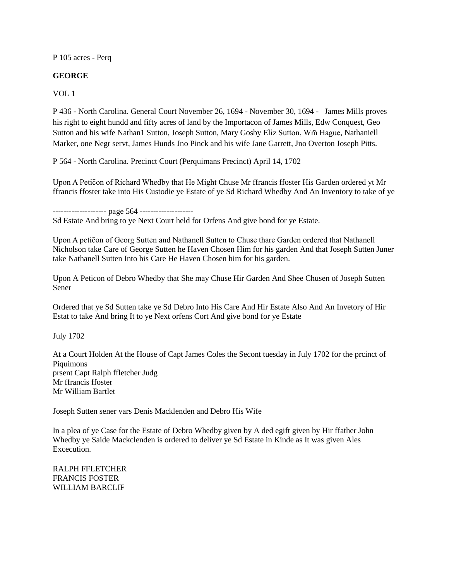P 105 acres - Perq

### **GEORGE**

VOL 1

P 436 **-** North Carolina. General Court November 26, 1694 - November 30, 1694 -James Mills proves his right to eight hundd and fifty acres of land by the Importacon of James Mills, Edw Conquest, Geo Sutton and his wife Nathan1 Sutton, Joseph Sutton, Mary Gosby Eliz Sutton, Wm Hague, Nathaniell Marker, one Negr servt, James Hunds Jno Pinck and his wife Jane Garrett, Jno Overton Joseph Pitts.

P 564 - North Carolina. Precinct Court (Perquimans Precinct) April 14, 1702

Upon A Peticon of Richard Whedby that He Might Chuse Mr ffrancis ffoster His Garden ordered yt Mr ffrancis ffoster take into His Custodie ye Estate of ye Sd Richard Whedby And An Inventory to take of ye

--------------------- page 564 --------------------

Sd Estate And bring to ye Next Court held for Orfens And give bond for ye Estate.

Upon A peticon of Georg Sutten and Nathanell Sutten to Chuse thare Garden ordered that Nathanell Nicholson take Care of George Sutten he Haven Chosen Him for his garden And that Joseph Sutten Juner take Nathanell Sutten Into his Care He Haven Chosen him for his garden.

Upon A Peticon of Debro Whedby that She may Chuse Hir Garden And Shee Chusen of Joseph Sutten Sener

Ordered that ye Sd Sutten take ye Sd Debro Into His Care And Hir Estate Also And An Invetory of Hir Estat to take And bring It to ye Next orfens Cort And give bond for ye Estate

July 1702

At a Court Holden At the House of Capt James Coles the Secont tuesday in July 1702 for the prcinct of Piquimons prsent Capt Ralph ffletcher Judg Mr ffrancis ffoster Mr William Bartlet

Joseph Sutten sener vars Denis Macklenden and Debro His Wife

In a plea of ye Case for the Estate of Debro Whedby given by A ded egift given by Hir ffather John Whedby ye Saide Mackclenden is ordered to deliver ye Sd Estate in Kinde as It was given Ales Excecution.

RALPH FFLETCHER FRANCIS FOSTER WILLIAM BARCLIF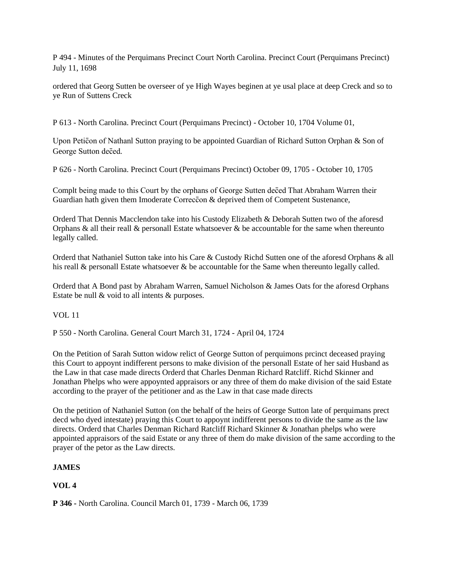P 494 - Minutes of the Perquimans Precinct Court North Carolina. Precinct Court (Perquimans Precinct) July 11, 1698

ordered that Georg Sutten be overseer of ye High Wayes beginen at ye usal place at deep Creck and so to ye Run of Suttens Creck

P 613 - North Carolina. Precinct Court (Perquimans Precinct) - October 10, 1704 Volume 01,

Upon Peticon of Nathanl Sutton praying to be appointed Guardian of Richard Sutton Orphan & Son of George Sutton deced.

P 626 - North Carolina. Precinct Court (Perquimans Precinct) October 09, 1705 - October 10, 1705

Complt being made to this Court by the orphans of George Sutten deced That Abraham Warren their Guardian hath given them Imoderate Correccon & deprived them of Competent Sustenance,

Orderd That Dennis Macclendon take into his Custody Elizabeth & Deborah Sutten two of the aforesd Orphans & all their reall  $\&$  personall Estate whatsoever  $\&$  be accountable for the same when thereunto legally called.

Orderd that Nathaniel Sutton take into his Care & Custody Richd Sutten one of the aforesd Orphans & all his reall & personall Estate whatsoever & be accountable for the Same when thereunto legally called.

Orderd that A Bond past by Abraham Warren, Samuel Nicholson & James Oats for the aforesd Orphans Estate be null & void to all intents & purposes.

VOL 11

P 550 - North Carolina. General Court March 31, 1724 - April 04, 1724

On the Petition of Sarah Sutton widow relict of George Sutton of perquimons prcinct deceased praying this Court to appoynt indifferent persons to make division of the personall Estate of her said Husband as the Law in that case made directs Orderd that Charles Denman Richard Ratcliff. Richd Skinner and Jonathan Phelps who were appoynted appraisors or any three of them do make division of the said Estate according to the prayer of the petitioner and as the Law in that case made directs

On the petition of Nathaniel Sutton (on the behalf of the heirs of George Sutton late of perquimans prect decd who dyed intestate) praying this Court to appoynt indifferent persons to divide the same as the law directs. Orderd that Charles Denman Richard Ratcliff Richard Skinner & Jonathan phelps who were appointed appraisors of the said Estate or any three of them do make division of the same according to the prayer of the petor as the Law directs.

## **JAMES**

## **VOL 4**

**P 346 -** North Carolina. Council March 01, 1739 - March 06, 1739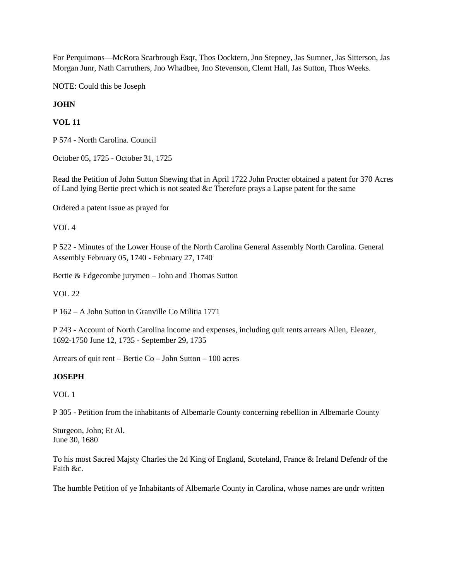For Perquimons—McRora Scarbrough Esqr, Thos Docktern, Jno Stepney, Jas Sumner, Jas Sitterson, Jas Morgan Junr, Nath Carruthers, Jno Whadbee, Jno Stevenson, Clemt Hall, Jas Sutton, Thos Weeks.

NOTE: Could this be Joseph

### **JOHN**

## **VOL 11**

P 574 - North Carolina. Council

October 05, 1725 - October 31, 1725

Read the Petition of John Sutton Shewing that in April 1722 John Procter obtained a patent for 370 Acres of Land lying Bertie prect which is not seated &c Therefore prays a Lapse patent for the same

Ordered a patent Issue as prayed for

VOL 4

P 522 - Minutes of the Lower House of the North Carolina General Assembly North Carolina. General Assembly February 05, 1740 - February 27, 1740

Bertie & Edgecombe jurymen – John and Thomas Sutton

VOL 22

P 162 – A John Sutton in Granville Co Militia 1771

P 243 - Account of North Carolina income and expenses, including quit rents arrears Allen, Eleazer, 1692-1750 June 12, 1735 - September 29, 1735

Arrears of quit rent – Bertie Co – John Sutton – 100 acres

### **JOSEPH**

VOL 1

P 305 - Petition from the inhabitants of Albemarle County concerning rebellion in Albemarle County

Sturgeon, John; Et Al. June 30, 1680

To his most Sacred Majsty Charles the 2d King of England, Scoteland, France & Ireland Defendr of the Faith &c.

The humble Petition of ye Inhabitants of Albemarle County in Carolina, whose names are undr written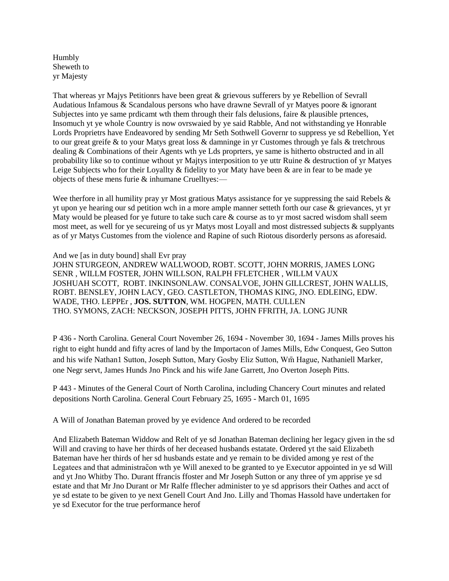Humbly Sheweth to yr Majesty

That whereas yr Majys Petitionrs have been great & grievous sufferers by ye Rebellion of Sevrall Audatious Infamous & Scandalous persons who have drawne Sevrall of yr Matyes poore & ignorant Subjectes into ye same prdicamt wth them through their fals delusions, faire & plausible prtences, Insomuch yt ye whole Country is now ovrswaied by ye said Rabble, And not withstanding ye Honrable Lords Proprietrs have Endeavored by sending Mr Seth Sothwell Governr to suppress ye sd Rebellion, Yet to our great greife & to your Matys great loss & damninge in yr Customes through ye fals & tretchrous dealing & Combinations of their Agents wth ye Lds proprters, ye same is hitherto obstructed and in all probability like so to continue wthout yr Majtys interposition to ye uttr Ruine & destruction of yr Matyes Leige Subjects who for their Loyallty & fidelity to yor Maty have been & are in fear to be made ye objects of these mens furie & inhumane Cruelltyes:—

Wee therfore in all humility pray yr Most gratious Matys assistance for ye suppressing the said Rebels  $\&$ yt upon ye hearing our sd petition wch in a more ample manner setteth forth our case & grievances, yt yr Maty would be pleased for ye future to take such care & course as to yr most sacred wisdom shall seem most meet, as well for ye secureing of us yr Matys most Loyall and most distressed subjects & supplyants as of yr Matys Customes from the violence and Rapine of such Riotous disorderly persons as aforesaid.

#### And we [as in duty bound] shall Evr pray

JOHN STURGEON, ANDREW WALLWOOD, ROBT. SCOTT, JOHN MORRIS, JAMES LONG SENR , WILLM FOSTER, JOHN WILLSON, RALPH FFLETCHER , WILLM VAUX JOSHUAH SCOTT, ROBT. INKINSONLAW. CONSALVOE, JOHN GILLCREST, JOHN WALLIS, ROBT. BENSLEY, JOHN LACY, GEO. CASTLETON, THOMAS KING, JNO. EDLEING, EDW. WADE, THO. LEPPEr , **JOS. SUTTON**, WM. HOGPEN, MATH. CULLEN THO. SYMONS, ZACH: NECKSON, JOSEPH PITTS, JOHN FFRITH, JA. LONG JUNR

P 436 **-** North Carolina. General Court November 26, 1694 - November 30, 1694 - James Mills proves his right to eight hundd and fifty acres of land by the Importacon of James Mills, Edw Conquest, Geo Sutton and his wife Nathan1 Sutton, Joseph Sutton, Mary Gosby Eliz Sutton, Wm Hague, Nathaniell Marker, one Negr servt, James Hunds Jno Pinck and his wife Jane Garrett, Jno Overton Joseph Pitts.

P 443 - Minutes of the General Court of North Carolina, including Chancery Court minutes and related depositions North Carolina. General Court February 25, 1695 - March 01, 1695

A Will of Jonathan Bateman proved by ye evidence And ordered to be recorded

And Elizabeth Bateman Widdow and Relt of ye sd Jonathan Bateman declining her legacy given in the sd Will and craving to have her thirds of her deceased husbands estatate. Ordered yt the said Elizabeth Bateman have her thirds of her sd husbands estate and ye remain to be divided among ye rest of the Legatees and that administracton wth ye Will anexed to be granted to ye Executor appointed in ye sd Will and yt Jno Whitby Tho. Durant ffrancis ffoster and Mr Joseph Sutton or any three of ym apprise ye sd estate and that Mr Jno Durant or Mr Ralfe fflecher administer to ye sd apprisors their Oathes and acct of ye sd estate to be given to ye next Genell Court And Jno. Lilly and Thomas Hassold have undertaken for ye sd Executor for the true performance herof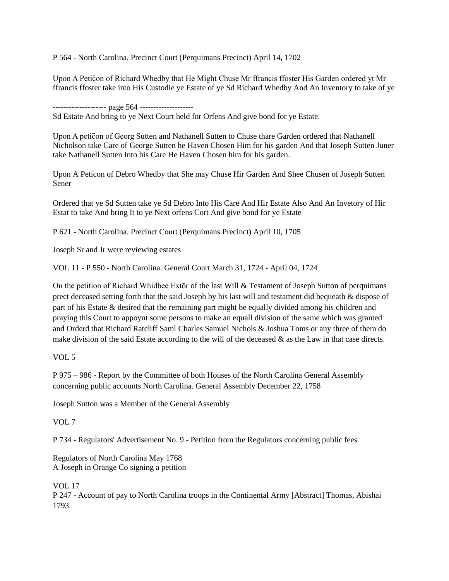P 564 - North Carolina. Precinct Court (Perquimans Precinct) April 14, 1702

Upon A Peticon of Richard Whedby that He Might Chuse Mr ffrancis ffoster His Garden ordered yt Mr ffrancis ffoster take into His Custodie ye Estate of ye Sd Richard Whedby And An Inventory to take of ye

-------------------- page 564 --------------------

Sd Estate And bring to ye Next Court held for Orfens And give bond for ye Estate.

Upon A peticon of Georg Sutten and Nathanell Sutten to Chuse thare Garden ordered that Nathanell Nicholson take Care of George Sutten he Haven Chosen Him for his garden And that Joseph Sutten Juner take Nathanell Sutten Into his Care He Haven Chosen him for his garden.

Upon A Peticon of Debro Whedby that She may Chuse Hir Garden And Shee Chusen of Joseph Sutten Sener

Ordered that ye Sd Sutten take ye Sd Debro Into His Care And Hir Estate Also And An Invetory of Hir Estat to take And bring It to ye Next orfens Cort And give bond for ye Estate

P 621 - North Carolina. Precinct Court (Perquimans Precinct) April 10, 1705

Joseph Sr and Jr were reviewing estates

VOL 11 - P 550 - North Carolina. General Court March 31, 1724 - April 04, 1724

On the petition of Richard Whidbee Extōr of the last Will & Testament of Joseph Sutton of perquimans prect deceased setting forth that the said Joseph by his last will and testament did bequeath & dispose of part of his Estate & desired that the remaining part might be equally divided among his children and praying this Court to appoynt some persons to make an equall division of the same which was granted and Orderd that Richard Ratcliff Saml Charles Samuel Nichols & Joshua Toms or any three of them do make division of the said Estate according to the will of the deceased & as the Law in that case directs.

VOL 5

P 975 – 986 - Report by the Committee of both Houses of the North Carolina General Assembly concerning public accounts North Carolina. General Assembly December 22, 1758

Joseph Sutton was a Member of the General Assembly

VOL 7

P 734 - Regulators' Advertisement No. 9 - Petition from the Regulators concerning public fees

Regulators of North Carolina May 1768 A Joseph in Orange Co signing a petition

VOL 17

P 247 - Account of pay to North Carolina troops in the Continental Army [Abstract] Thomas, Abishai 1793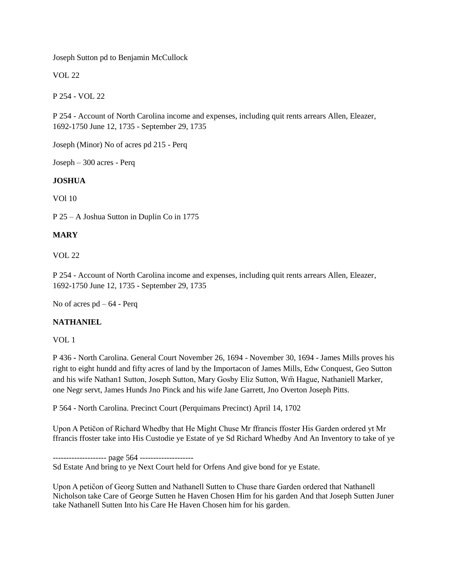Joseph Sutton pd to Benjamin McCullock

VOL 22

P 254 - VOL 22

P 254 - Account of North Carolina income and expenses, including quit rents arrears Allen, Eleazer, 1692-1750 June 12, 1735 - September 29, 1735

Joseph (Minor) No of acres pd 215 - Perq

Joseph – 300 acres - Perq

## **JOSHUA**

VOl 10

P 25 – A Joshua Sutton in Duplin Co in 1775

## **MARY**

VOL 22

P 254 - Account of North Carolina income and expenses, including quit rents arrears Allen, Eleazer, 1692-1750 June 12, 1735 - September 29, 1735

No of acres pd – 64 - Perq

## **NATHANIEL**

VOL 1

P 436 **-** North Carolina. General Court November 26, 1694 - November 30, 1694 - James Mills proves his right to eight hundd and fifty acres of land by the Importacon of James Mills, Edw Conquest, Geo Sutton and his wife Nathan1 Sutton, Joseph Sutton, Mary Gosby Eliz Sutton, Wm Hague, Nathaniell Marker, one Negr servt, James Hunds Jno Pinck and his wife Jane Garrett, Jno Overton Joseph Pitts.

P 564 - North Carolina. Precinct Court (Perquimans Precinct) April 14, 1702

Upon A Peticon of Richard Whedby that He Might Chuse Mr ffrancis ffoster His Garden ordered yt Mr ffrancis ffoster take into His Custodie ye Estate of ye Sd Richard Whedby And An Inventory to take of ye

--------------------- page 564 --------------------

Sd Estate And bring to ye Next Court held for Orfens And give bond for ye Estate.

Upon A peticon of Georg Sutten and Nathanell Sutten to Chuse thare Garden ordered that Nathanell Nicholson take Care of George Sutten he Haven Chosen Him for his garden And that Joseph Sutten Juner take Nathanell Sutten Into his Care He Haven Chosen him for his garden.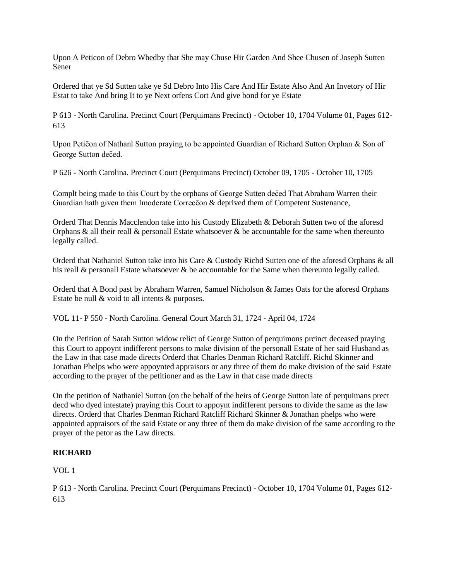Upon A Peticon of Debro Whedby that She may Chuse Hir Garden And Shee Chusen of Joseph Sutten Sener

Ordered that ye Sd Sutten take ye Sd Debro Into His Care And Hir Estate Also And An Invetory of Hir Estat to take And bring It to ye Next orfens Cort And give bond for ye Estate

P 613 - North Carolina. Precinct Court (Perquimans Precinct) - October 10, 1704 Volume 01, Pages 612- 613

Upon Petic on of Nathanl Sutton praying to be appointed Guardian of Richard Sutton Orphan  $\&$  Son of George Sutton deced.

P 626 - North Carolina. Precinct Court (Perquimans Precinct) October 09, 1705 - October 10, 1705

Complt being made to this Court by the orphans of George Sutten deced That Abraham Warren their Guardian hath given them Imoderate Correccon & deprived them of Competent Sustenance,

Orderd That Dennis Macclendon take into his Custody Elizabeth & Deborah Sutten two of the aforesd Orphans & all their reall  $\&$  personall Estate whatsoever  $\&$  be accountable for the same when thereunto legally called.

Orderd that Nathaniel Sutton take into his Care & Custody Richd Sutten one of the aforesd Orphans & all his reall & personall Estate whatsoever & be accountable for the Same when thereunto legally called.

Orderd that A Bond past by Abraham Warren, Samuel Nicholson & James Oats for the aforesd Orphans Estate be null & void to all intents & purposes.

VOL 11- P 550 - North Carolina. General Court March 31, 1724 - April 04, 1724

On the Petition of Sarah Sutton widow relict of George Sutton of perquimons prcinct deceased praying this Court to appoynt indifferent persons to make division of the personall Estate of her said Husband as the Law in that case made directs Orderd that Charles Denman Richard Ratcliff. Richd Skinner and Jonathan Phelps who were appoynted appraisors or any three of them do make division of the said Estate according to the prayer of the petitioner and as the Law in that case made directs

On the petition of Nathaniel Sutton (on the behalf of the heirs of George Sutton late of perquimans prect decd who dyed intestate) praying this Court to appoynt indifferent persons to divide the same as the law directs. Orderd that Charles Denman Richard Ratcliff Richard Skinner & Jonathan phelps who were appointed appraisors of the said Estate or any three of them do make division of the same according to the prayer of the petor as the Law directs.

## **RICHARD**

VOL 1

P 613 - North Carolina. Precinct Court (Perquimans Precinct) - October 10, 1704 Volume 01, Pages 612- 613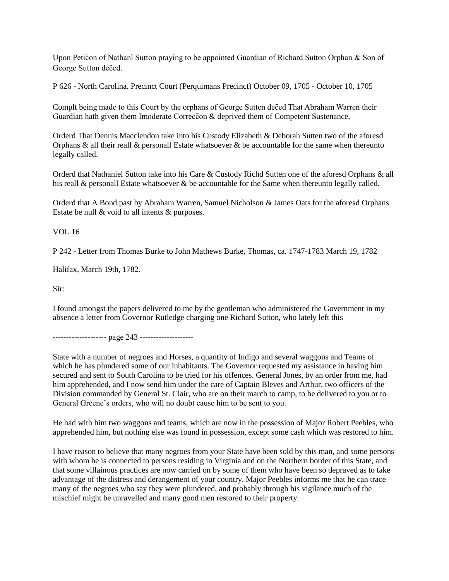Upon Petic on of Nathanl Sutton praying to be appointed Guardian of Richard Sutton Orphan  $\&$  Son of George Sutton deced.

P 626 - North Carolina. Precinct Court (Perquimans Precinct) October 09, 1705 - October 10, 1705

Complt being made to this Court by the orphans of George Sutten deced That Abraham Warren their Guardian hath given them Imoderate Correccon & deprived them of Competent Sustenance,

Orderd That Dennis Macclendon take into his Custody Elizabeth & Deborah Sutten two of the aforesd Orphans & all their reall & personall Estate whatsoever & be accountable for the same when thereunto legally called.

Orderd that Nathaniel Sutton take into his Care & Custody Richd Sutten one of the aforesd Orphans & all his reall & personall Estate whatsoever & be accountable for the Same when thereunto legally called.

Orderd that A Bond past by Abraham Warren, Samuel Nicholson & James Oats for the aforesd Orphans Estate be null & void to all intents & purposes.

VOL 16

P 242 - Letter from Thomas Burke to John Mathews Burke, Thomas, ca. 1747-1783 March 19, 1782

Halifax, March 19th, 1782.

Sir:

I found amongst the papers delivered to me by the gentleman who administered the Government in my absence a letter from Governor Rutledge charging one Richard Sutton, who lately left this

---------------------- page 243 --------------------

State with a number of negroes and Horses, a quantity of Indigo and several waggons and Teams of which he has plundered some of our inhabitants. The Governor requested my assistance in having him secured and sent to South Carolina to be tried for his offences. General Jones, by an order from me, had him apprehended, and I now send him under the care of Captain Bleves and Arthur, two officers of the Division commanded by General St. Clair, who are on their march to camp, to be delivered to you or to General Greene's orders, who will no doubt cause him to be sent to you.

He had with him two waggons and teams, which are now in the possession of Major Robert Peebles, who apprehended him, but nothing else was found in possession, except some cash which was restored to him.

I have reason to believe that many negroes from your State have been sold by this man, and some persons with whom he is connected to persons residing in Virginia and on the Northern border of this State, and that some villainous practices are now carried on by some of them who have been so depraved as to take advantage of the distress and derangement of your country. Major Peebles informs me that he can trace many of the negroes who say they were plundered, and probably through his vigilance much of the mischief might be unravelled and many good men restored to their property.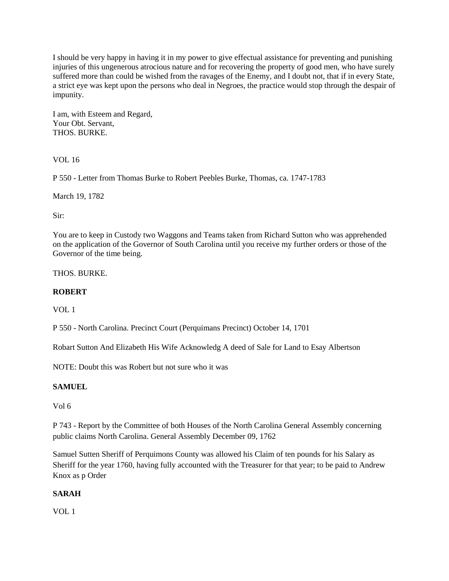I should be very happy in having it in my power to give effectual assistance for preventing and punishing injuries of this ungenerous atrocious nature and for recovering the property of good men, who have surely suffered more than could be wished from the ravages of the Enemy, and I doubt not, that if in every State, a strict eye was kept upon the persons who deal in Negroes, the practice would stop through the despair of impunity.

I am, with Esteem and Regard, Your Obt. Servant, THOS. BURKE.

VOL 16

P 550 - Letter from Thomas Burke to Robert Peebles Burke, Thomas, ca. 1747-1783

March 19, 1782

Sir:

You are to keep in Custody two Waggons and Teams taken from Richard Sutton who was apprehended on the application of the Governor of South Carolina until you receive my further orders or those of the Governor of the time being.

THOS. BURKE.

## **ROBERT**

VOL 1

P 550 - North Carolina. Precinct Court (Perquimans Precinct) October 14, 1701

Robart Sutton And Elizabeth His Wife Acknowledg A deed of Sale for Land to Esay Albertson

NOTE: Doubt this was Robert but not sure who it was

## **SAMUEL**

Vol 6

P 743 - Report by the Committee of both Houses of the North Carolina General Assembly concerning public claims North Carolina. General Assembly December 09, 1762

Samuel Sutten Sheriff of Perquimons County was allowed his Claim of ten pounds for his Salary as Sheriff for the year 1760, having fully accounted with the Treasurer for that year; to be paid to Andrew Knox as p Order

## **SARAH**

VOL 1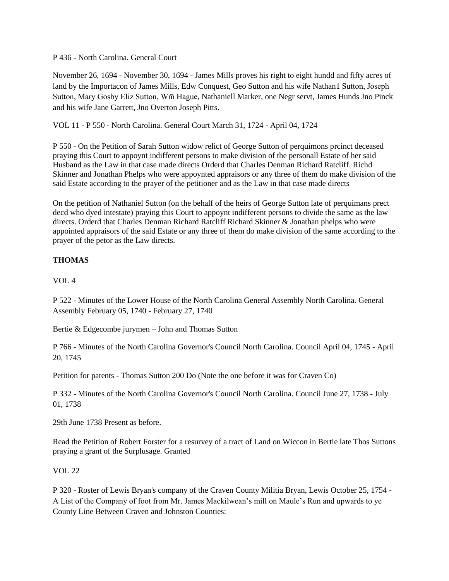P 436 **-** North Carolina. General Court

November 26, 1694 - November 30, 1694 - James Mills proves his right to eight hundd and fifty acres of land by the Importacon of James Mills, Edw Conquest, Geo Sutton and his wife Nathan1 Sutton, Joseph Sutton, Mary Gosby Eliz Sutton, Wm Hague, Nathaniell Marker, one Negr servt, James Hunds Jno Pinck and his wife Jane Garrett, Jno Overton Joseph Pitts.

VOL 11 - P 550 - North Carolina. General Court March 31, 1724 - April 04, 1724

P 550 - On the Petition of Sarah Sutton widow relict of George Sutton of perquimons prcinct deceased praying this Court to appoynt indifferent persons to make division of the personall Estate of her said Husband as the Law in that case made directs Orderd that Charles Denman Richard Ratcliff. Richd Skinner and Jonathan Phelps who were appoynted appraisors or any three of them do make division of the said Estate according to the prayer of the petitioner and as the Law in that case made directs

On the petition of Nathaniel Sutton (on the behalf of the heirs of George Sutton late of perquimans prect decd who dyed intestate) praying this Court to appoynt indifferent persons to divide the same as the law directs. Orderd that Charles Denman Richard Ratcliff Richard Skinner & Jonathan phelps who were appointed appraisors of the said Estate or any three of them do make division of the same according to the prayer of the petor as the Law directs.

# **THOMAS**

VOL 4

P 522 - Minutes of the Lower House of the North Carolina General Assembly North Carolina. General Assembly February 05, 1740 - February 27, 1740

Bertie & Edgecombe jurymen – John and Thomas Sutton

P 766 - Minutes of the North Carolina Governor's Council North Carolina. Council April 04, 1745 - April 20, 1745

Petition for patents - Thomas Sutton 200 Do (Note the one before it was for Craven Co)

P 332 - Minutes of the North Carolina Governor's Council North Carolina. Council June 27, 1738 - July 01, 1738

29th June 1738 Present as before.

Read the Petition of Robert Forster for a resurvey of a tract of Land on Wiccon in Bertie late Thos Suttons praying a grant of the Surplusage. Granted

VOL 22

P 320 - Roster of Lewis Bryan's company of the Craven County Militia Bryan, Lewis October 25, 1754 - A List of the Company of foot from Mr. James Mackilwean's mill on Maule's Run and upwards to ye County Line Between Craven and Johnston Counties: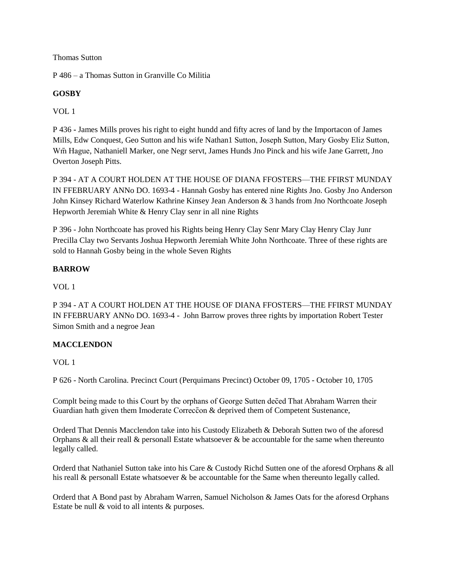Thomas Sutton

P 486 – a Thomas Sutton in Granville Co Militia

# **GOSBY**

VOL 1

P 436 **-** James Mills proves his right to eight hundd and fifty acres of land by the Importacon of James Mills, Edw Conquest, Geo Sutton and his wife Nathan1 Sutton, Joseph Sutton, Mary Gosby Eliz Sutton, Wm Hague, Nathaniell Marker, one Negr servt, James Hunds Jno Pinck and his wife Jane Garrett, Jno Overton Joseph Pitts.

P 394 - AT A COURT HOLDEN AT THE HOUSE OF DIANA FFOSTERS—THE FFIRST MUNDAY IN FFEBRUARY ANNo DO. 1693-4 - Hannah Gosby has entered nine Rights Jno. Gosby Jno Anderson John Kinsey Richard Waterlow Kathrine Kinsey Jean Anderson & 3 hands from Jno Northcoate Joseph Hepworth Jeremiah White & Henry Clay senr in all nine Rights

P 396 - John Northcoate has proved his Rights being Henry Clay Senr Mary Clay Henry Clay Junr Precilla Clay two Servants Joshua Hepworth Jeremiah White John Northcoate. Three of these rights are sold to Hannah Gosby being in the whole Seven Rights

# **BARROW**

VOL 1

P 394 - AT A COURT HOLDEN AT THE HOUSE OF DIANA FFOSTERS—THE FFIRST MUNDAY IN FFEBRUARY ANNo DO. 1693-4 - John Barrow proves three rights by importation Robert Tester Simon Smith and a negroe Jean

# **MACCLENDON**

VOL 1

P 626 - North Carolina. Precinct Court (Perquimans Precinct) October 09, 1705 - October 10, 1705

Complt being made to this Court by the orphans of George Sutten deced That Abraham Warren their Guardian hath given them Imoderate Correccon  $\&$  deprived them of Competent Sustenance,

Orderd That Dennis Macclendon take into his Custody Elizabeth & Deborah Sutten two of the aforesd Orphans & all their reall & personall Estate whatsoever & be accountable for the same when thereunto legally called.

Orderd that Nathaniel Sutton take into his Care & Custody Richd Sutten one of the aforesd Orphans & all his reall & personall Estate whatsoever & be accountable for the Same when thereunto legally called.

Orderd that A Bond past by Abraham Warren, Samuel Nicholson & James Oats for the aforesd Orphans Estate be null & void to all intents & purposes.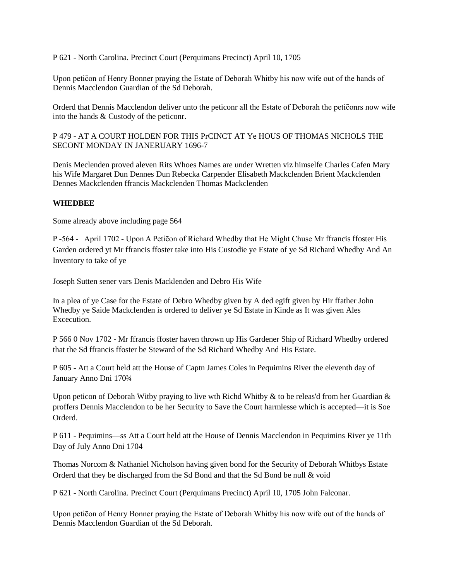P 621 - North Carolina. Precinct Court (Perquimans Precinct) April 10, 1705

Upon petic on of Henry Bonner praying the Estate of Deborah Whitby his now wife out of the hands of Dennis Macclendon Guardian of the Sd Deborah.

Orderd that Dennis Macclendon deliver unto the peticonr all the Estate of Deborah the peticonrs now wife into the hands & Custody of the peticonr.

P 479 - AT A COURT HOLDEN FOR THIS PrCINCT AT Ye HOUS OF THOMAS NICHOLS THE SECONT MONDAY IN JANERUARY 1696-7

Denis Meclenden proved aleven Rits Whoes Names are under Wretten viz himselfe Charles Cafen Mary his Wife Margaret Dun Dennes Dun Rebecka Carpender Elisabeth Mackclenden Brient Mackclenden Dennes Mackclenden ffrancis Mackclenden Thomas Mackclenden

#### **WHEDBEE**

Some already above including page 564

P -564 - April 1702 - Upon A Peticon of Richard Whedby that He Might Chuse Mr ffrancis ffoster His Garden ordered yt Mr ffrancis ffoster take into His Custodie ye Estate of ye Sd Richard Whedby And An Inventory to take of ye

Joseph Sutten sener vars Denis Macklenden and Debro His Wife

In a plea of ye Case for the Estate of Debro Whedby given by A ded egift given by Hir ffather John Whedby ye Saide Mackclenden is ordered to deliver ye Sd Estate in Kinde as It was given Ales Excecution.

P 566 0 Nov 1702 - Mr ffrancis ffoster haven thrown up His Gardener Ship of Richard Whedby ordered that the Sd ffrancis ffoster be Steward of the Sd Richard Whedby And His Estate.

P 605 - Att a Court held att the House of Captn James Coles in Pequimins River the eleventh day of January Anno Dni 170¾

Upon peticon of Deborah Witby praying to live wth Richd Whitby & to be releas'd from her Guardian  $\&$ proffers Dennis Macclendon to be her Security to Save the Court harmlesse which is accepted—it is Soe Orderd.

P 611 - Pequimins—ss Att a Court held att the House of Dennis Macclendon in Pequimins River ye 11th Day of July Anno Dni 1704

Thomas Norcom & Nathaniel Nicholson having given bond for the Security of Deborah Whitbys Estate Orderd that they be discharged from the Sd Bond and that the Sd Bond be null & void

P 621 - North Carolina. Precinct Court (Perquimans Precinct) April 10, 1705 John Falconar.

Upon petic on of Henry Bonner praying the Estate of Deborah Whitby his now wife out of the hands of Dennis Macclendon Guardian of the Sd Deborah.